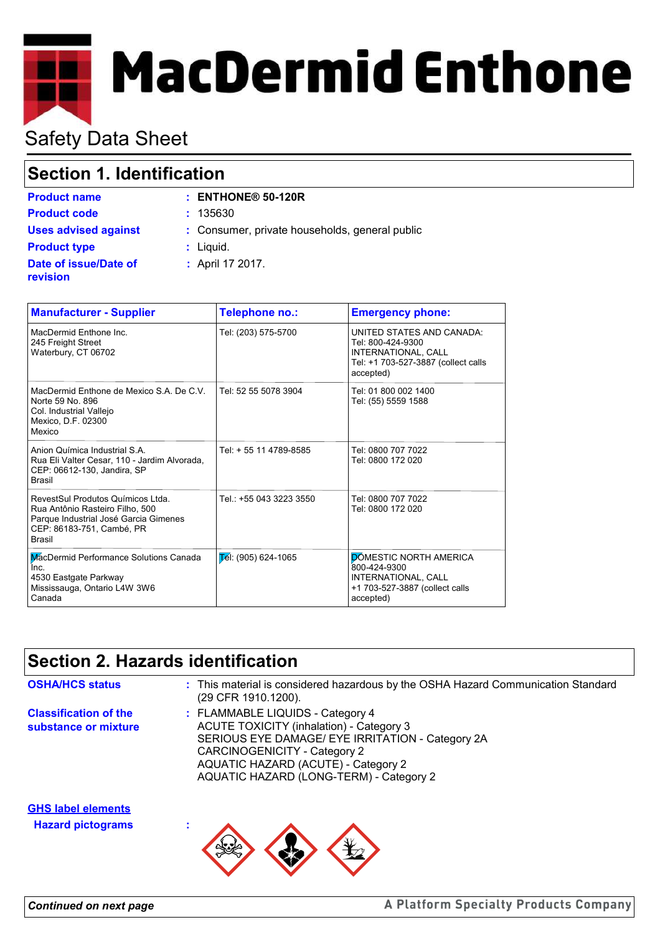# **MacDermid Enthone**

# Safety Data Sheet

# **Section 1. Identification**

| <b>Product name</b>               | $:$ ENTHONE <sup>®</sup> 50-120R               |
|-----------------------------------|------------------------------------------------|
| <b>Product code</b>               | : 135630                                       |
| <b>Uses advised against</b>       | : Consumer, private households, general public |
| <b>Product type</b>               | $:$ Liquid.                                    |
| Date of issue/Date of<br>revision | : April 17 2017.                               |

| <b>Manufacturer - Supplier</b>                                                                                                                              | Telephone no.:                  | <b>Emergency phone:</b>                                                                                                   |
|-------------------------------------------------------------------------------------------------------------------------------------------------------------|---------------------------------|---------------------------------------------------------------------------------------------------------------------------|
| MacDermid Enthone Inc.<br>245 Freight Street<br>Waterbury, CT 06702                                                                                         | Tel: (203) 575-5700             | UNITED STATES AND CANADA:<br>Tel: 800-424-9300<br>INTERNATIONAL, CALL<br>Tel: +1 703-527-3887 (collect calls<br>accepted) |
| MacDermid Enthone de Mexico S.A. De C.V.<br>Norte 59 No. 896<br>Col. Industrial Vallejo<br>Mexico, D.F. 02300<br>Mexico                                     | Tel: 52 55 5078 3904            | Tel: 01 800 002 1400<br>Tel: (55) 5559 1588                                                                               |
| Anion Química Industrial S.A.<br>Rua Eli Valter Cesar, 110 - Jardim Alvorada,<br>CEP: 06612-130, Jandira, SP<br><b>Brasil</b>                               | Tel: + 55 11 4789-8585          | Tel: 0800 707 7022<br>Tel: 0800 172 020                                                                                   |
| RevestSul Produtos Químicos Ltda.<br>Rua Antônio Rasteiro Filho, 500<br>Parque Industrial José Garcia Gimenes<br>CEP: 86183-751, Cambé, PR<br><b>Brasil</b> | Tel.: +55 043 3223 3550         | Tel: 0800 707 7022<br>Tel: 0800 172 020                                                                                   |
| MacDermid Performance Solutions Canada<br>Inc.<br>4530 Eastgate Parkway<br>Mississauga, Ontario L4W 3W6<br>Canada                                           | $\mathsf{L}$ él: (905) 624-1065 | <b>DOMESTIC NORTH AMERICA</b><br>800-424-9300<br>INTERNATIONAL, CALL<br>+1 703-527-3887 (collect calls<br>accepted)       |

# **Section 2. Hazards identification**

| <b>OSHA/HCS status</b>                                | : This material is considered hazardous by the OSHA Hazard Communication Standard<br>(29 CFR 1910.1200).                                                                                                                                                  |
|-------------------------------------------------------|-----------------------------------------------------------------------------------------------------------------------------------------------------------------------------------------------------------------------------------------------------------|
| <b>Classification of the</b><br>substance or mixture  | : FLAMMABLE LIQUIDS - Category 4<br><b>ACUTE TOXICITY (inhalation) - Category 3</b><br>SERIOUS EYE DAMAGE/ EYE IRRITATION - Category 2A<br>CARCINOGENICITY - Category 2<br>AQUATIC HAZARD (ACUTE) - Category 2<br>AQUATIC HAZARD (LONG-TERM) - Category 2 |
| <b>GHS label elements</b><br><b>Hazard pictograms</b> |                                                                                                                                                                                                                                                           |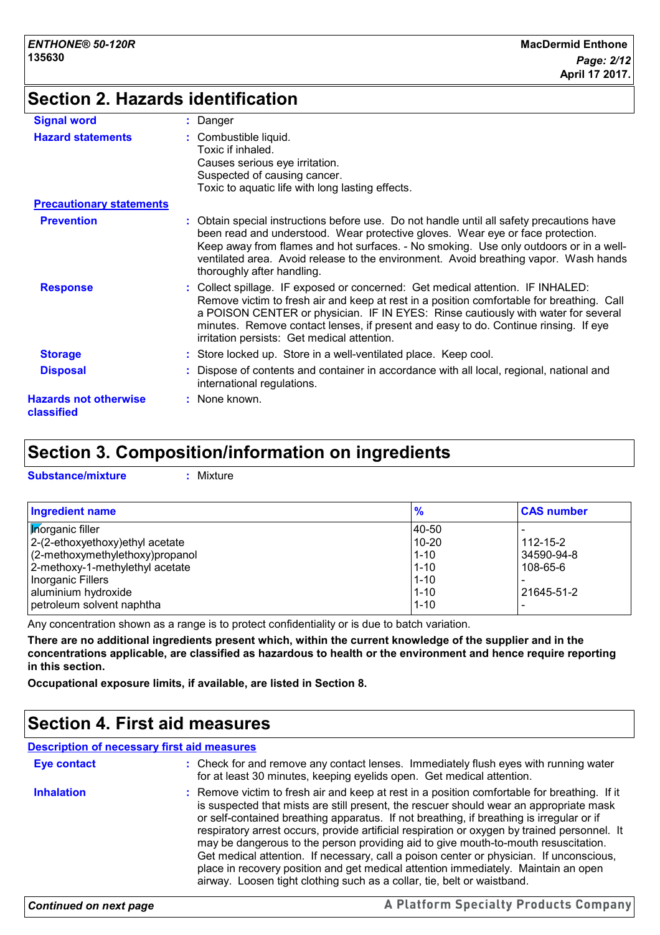# **Section 2. Hazards identification**

| <b>Signal word</b>                         | : Danger                                                                                                                                                                                                                                                                                                                                                                                                |
|--------------------------------------------|---------------------------------------------------------------------------------------------------------------------------------------------------------------------------------------------------------------------------------------------------------------------------------------------------------------------------------------------------------------------------------------------------------|
| <b>Hazard statements</b>                   | : Combustible liquid.<br>Toxic if inhaled.<br>Causes serious eye irritation.<br>Suspected of causing cancer.<br>Toxic to aquatic life with long lasting effects.                                                                                                                                                                                                                                        |
| <b>Precautionary statements</b>            |                                                                                                                                                                                                                                                                                                                                                                                                         |
| <b>Prevention</b>                          | : Obtain special instructions before use. Do not handle until all safety precautions have<br>been read and understood. Wear protective gloves. Wear eye or face protection.<br>Keep away from flames and hot surfaces. - No smoking. Use only outdoors or in a well-<br>ventilated area. Avoid release to the environment. Avoid breathing vapor. Wash hands<br>thoroughly after handling.              |
| <b>Response</b>                            | : Collect spillage. IF exposed or concerned: Get medical attention. IF INHALED:<br>Remove victim to fresh air and keep at rest in a position comfortable for breathing. Call<br>a POISON CENTER or physician. IF IN EYES: Rinse cautiously with water for several<br>minutes. Remove contact lenses, if present and easy to do. Continue rinsing. If eye<br>irritation persists: Get medical attention. |
| <b>Storage</b>                             | : Store locked up. Store in a well-ventilated place. Keep cool.                                                                                                                                                                                                                                                                                                                                         |
| <b>Disposal</b>                            | : Dispose of contents and container in accordance with all local, regional, national and<br>international regulations.                                                                                                                                                                                                                                                                                  |
| <b>Hazards not otherwise</b><br>classified | : None known.                                                                                                                                                                                                                                                                                                                                                                                           |

# **Section 3. Composition/information on ingredients**

**Substance/mixture :** Mixture

| <b>Ingredient name</b>           | $\frac{9}{6}$ | <b>CAS number</b> |
|----------------------------------|---------------|-------------------|
| <b>Morganic filler</b>           | 140-50        |                   |
| 2-(2-ethoxyethoxy) ethyl acetate | $10 - 20$     | $112 - 15 - 2$    |
| (2-methoxymethylethoxy)propanol  | $1 - 10$      | 34590-94-8        |
| 2-methoxy-1-methylethyl acetate  | $1 - 10$      | 108-65-6          |
| Inorganic Fillers                | $1 - 10$      |                   |
| aluminium hydroxide              | $1 - 10$      | 21645-51-2        |
| petroleum solvent naphtha        | $1 - 10$      |                   |

Any concentration shown as a range is to protect confidentiality or is due to batch variation.

**There are no additional ingredients present which, within the current knowledge of the supplier and in the concentrations applicable, are classified as hazardous to health or the environment and hence require reporting in this section.**

**Occupational exposure limits, if available, are listed in Section 8.**

# **Section 4. First aid measures**

### **Description of necessary first aid measures**

| <b>Eye contact</b> | : Check for and remove any contact lenses. Immediately flush eyes with running water<br>for at least 30 minutes, keeping eyelids open. Get medical attention.                                                                                                                                                                                                                                                                                                                                                                                                                                                                                                                                                                        |
|--------------------|--------------------------------------------------------------------------------------------------------------------------------------------------------------------------------------------------------------------------------------------------------------------------------------------------------------------------------------------------------------------------------------------------------------------------------------------------------------------------------------------------------------------------------------------------------------------------------------------------------------------------------------------------------------------------------------------------------------------------------------|
| <b>Inhalation</b>  | : Remove victim to fresh air and keep at rest in a position comfortable for breathing. If it<br>is suspected that mists are still present, the rescuer should wear an appropriate mask<br>or self-contained breathing apparatus. If not breathing, if breathing is irregular or if<br>respiratory arrest occurs, provide artificial respiration or oxygen by trained personnel. It<br>may be dangerous to the person providing aid to give mouth-to-mouth resuscitation.<br>Get medical attention. If necessary, call a poison center or physician. If unconscious,<br>place in recovery position and get medical attention immediately. Maintain an open<br>airway. Loosen tight clothing such as a collar, tie, belt or waistband. |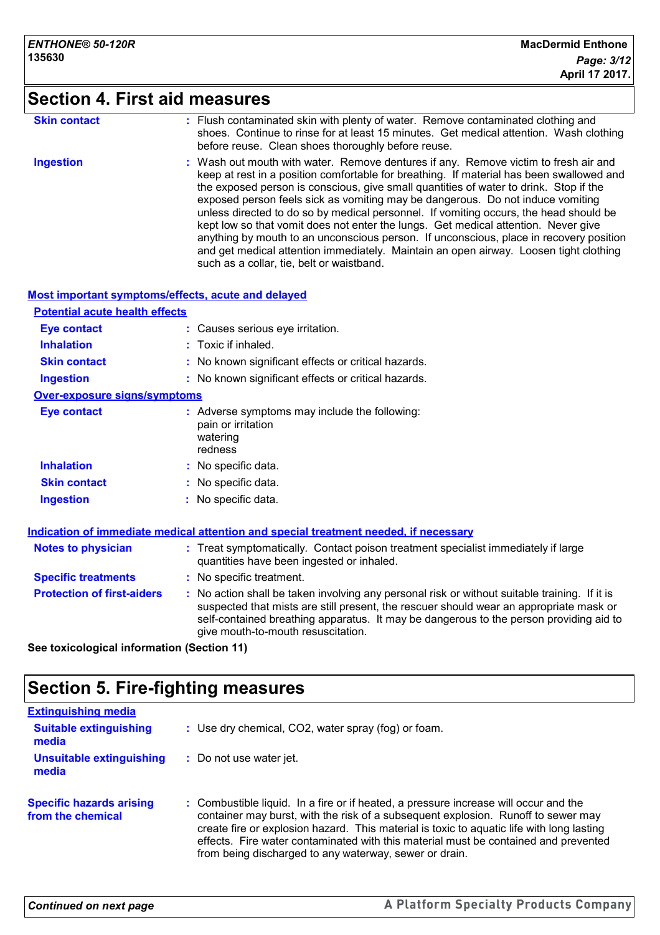# **Section 4. First aid measures**

| <b>Skin contact</b>                   | : Flush contaminated skin with plenty of water. Remove contaminated clothing and<br>shoes. Continue to rinse for at least 15 minutes. Get medical attention. Wash clothing<br>before reuse. Clean shoes thoroughly before reuse.                                                                                                                                                                                                                                                                                                                                                                                                                                                                                                                                          |
|---------------------------------------|---------------------------------------------------------------------------------------------------------------------------------------------------------------------------------------------------------------------------------------------------------------------------------------------------------------------------------------------------------------------------------------------------------------------------------------------------------------------------------------------------------------------------------------------------------------------------------------------------------------------------------------------------------------------------------------------------------------------------------------------------------------------------|
| <b>Ingestion</b>                      | : Wash out mouth with water. Remove dentures if any. Remove victim to fresh air and<br>keep at rest in a position comfortable for breathing. If material has been swallowed and<br>the exposed person is conscious, give small quantities of water to drink. Stop if the<br>exposed person feels sick as vomiting may be dangerous. Do not induce vomiting<br>unless directed to do so by medical personnel. If vomiting occurs, the head should be<br>kept low so that vomit does not enter the lungs. Get medical attention. Never give<br>anything by mouth to an unconscious person. If unconscious, place in recovery position<br>and get medical attention immediately. Maintain an open airway. Loosen tight clothing<br>such as a collar, tie, belt or waistband. |
|                                       | Most important symptoms/effects, acute and delayed                                                                                                                                                                                                                                                                                                                                                                                                                                                                                                                                                                                                                                                                                                                        |
| <b>Potential acute health effects</b> |                                                                                                                                                                                                                                                                                                                                                                                                                                                                                                                                                                                                                                                                                                                                                                           |

| <b>Eye contact</b>                  | : Causes serious eye irritation.                                                           |
|-------------------------------------|--------------------------------------------------------------------------------------------|
| <b>Inhalation</b>                   | $:$ Toxic if inhaled.                                                                      |
| <b>Skin contact</b>                 | : No known significant effects or critical hazards.                                        |
| <b>Ingestion</b>                    | : No known significant effects or critical hazards.                                        |
| <b>Over-exposure signs/symptoms</b> |                                                                                            |
| Eye contact                         | : Adverse symptoms may include the following:<br>pain or irritation<br>watering<br>redness |
| <b>Inhalation</b>                   | : No specific data.                                                                        |
| <b>Skin contact</b>                 | : No specific data.                                                                        |
| <b>Ingestion</b>                    | : No specific data.                                                                        |

| Indication of immediate medical attention and special treatment needed, if necessary |  |                                                                                                                                                                                                                                                                                                                         |
|--------------------------------------------------------------------------------------|--|-------------------------------------------------------------------------------------------------------------------------------------------------------------------------------------------------------------------------------------------------------------------------------------------------------------------------|
| <b>Notes to physician</b>                                                            |  | : Treat symptomatically. Contact poison treatment specialist immediately if large<br>quantities have been ingested or inhaled.                                                                                                                                                                                          |
| <b>Specific treatments</b>                                                           |  | : No specific treatment.                                                                                                                                                                                                                                                                                                |
| <b>Protection of first-aiders</b>                                                    |  | : No action shall be taken involving any personal risk or without suitable training. If it is<br>suspected that mists are still present, the rescuer should wear an appropriate mask or<br>self-contained breathing apparatus. It may be dangerous to the person providing aid to<br>give mouth-to-mouth resuscitation. |

**See toxicological information (Section 11)**

# **Section 5. Fire-fighting measures**

| <b>Extinguishing media</b>                           |                                                                                                                                                                                                                                                                                                                                                                                                                         |
|------------------------------------------------------|-------------------------------------------------------------------------------------------------------------------------------------------------------------------------------------------------------------------------------------------------------------------------------------------------------------------------------------------------------------------------------------------------------------------------|
| <b>Suitable extinguishing</b><br>media               | : Use dry chemical, CO2, water spray (fog) or foam.                                                                                                                                                                                                                                                                                                                                                                     |
| <b>Unsuitable extinguishing</b><br>media             | : Do not use water jet.                                                                                                                                                                                                                                                                                                                                                                                                 |
| <b>Specific hazards arising</b><br>from the chemical | : Combustible liquid. In a fire or if heated, a pressure increase will occur and the<br>container may burst, with the risk of a subsequent explosion. Runoff to sewer may<br>create fire or explosion hazard. This material is toxic to aquatic life with long lasting<br>effects. Fire water contaminated with this material must be contained and prevented<br>from being discharged to any waterway, sewer or drain. |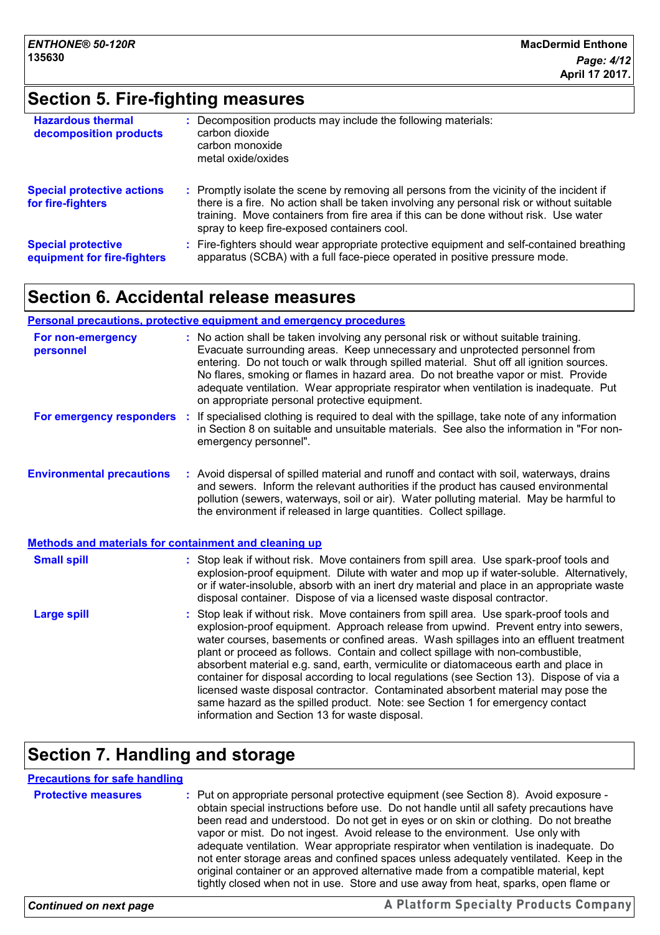# **Section 5. Fire-fighting measures**

| <b>Hazardous thermal</b><br>decomposition products       | Decomposition products may include the following materials:<br>carbon dioxide<br>carbon monoxide<br>metal oxide/oxides                                                                                                                                                                                                        |
|----------------------------------------------------------|-------------------------------------------------------------------------------------------------------------------------------------------------------------------------------------------------------------------------------------------------------------------------------------------------------------------------------|
| <b>Special protective actions</b><br>for fire-fighters   | : Promptly isolate the scene by removing all persons from the vicinity of the incident if<br>there is a fire. No action shall be taken involving any personal risk or without suitable<br>training. Move containers from fire area if this can be done without risk. Use water<br>spray to keep fire-exposed containers cool. |
| <b>Special protective</b><br>equipment for fire-fighters | Fire-fighters should wear appropriate protective equipment and self-contained breathing<br>apparatus (SCBA) with a full face-piece operated in positive pressure mode.                                                                                                                                                        |

# **Section 6. Accidental release measures**

### **Personal precautions, protective equipment and emergency procedures**

| For non-emergency<br>personnel                               |    | : No action shall be taken involving any personal risk or without suitable training.<br>Evacuate surrounding areas. Keep unnecessary and unprotected personnel from<br>entering. Do not touch or walk through spilled material. Shut off all ignition sources.<br>No flares, smoking or flames in hazard area. Do not breathe vapor or mist. Provide<br>adequate ventilation. Wear appropriate respirator when ventilation is inadequate. Put<br>on appropriate personal protective equipment.                                                                                                                                                                                                                                                                     |
|--------------------------------------------------------------|----|--------------------------------------------------------------------------------------------------------------------------------------------------------------------------------------------------------------------------------------------------------------------------------------------------------------------------------------------------------------------------------------------------------------------------------------------------------------------------------------------------------------------------------------------------------------------------------------------------------------------------------------------------------------------------------------------------------------------------------------------------------------------|
| For emergency responders                                     | ÷. | If specialised clothing is required to deal with the spillage, take note of any information<br>in Section 8 on suitable and unsuitable materials. See also the information in "For non-<br>emergency personnel".                                                                                                                                                                                                                                                                                                                                                                                                                                                                                                                                                   |
| <b>Environmental precautions</b>                             |    | : Avoid dispersal of spilled material and runoff and contact with soil, waterways, drains<br>and sewers. Inform the relevant authorities if the product has caused environmental<br>pollution (sewers, waterways, soil or air). Water polluting material. May be harmful to<br>the environment if released in large quantities. Collect spillage.                                                                                                                                                                                                                                                                                                                                                                                                                  |
| <b>Methods and materials for containment and cleaning up</b> |    |                                                                                                                                                                                                                                                                                                                                                                                                                                                                                                                                                                                                                                                                                                                                                                    |
| <b>Small spill</b>                                           |    | : Stop leak if without risk. Move containers from spill area. Use spark-proof tools and<br>explosion-proof equipment. Dilute with water and mop up if water-soluble. Alternatively,<br>or if water-insoluble, absorb with an inert dry material and place in an appropriate waste<br>disposal container. Dispose of via a licensed waste disposal contractor.                                                                                                                                                                                                                                                                                                                                                                                                      |
| <b>Large spill</b>                                           |    | Stop leak if without risk. Move containers from spill area. Use spark-proof tools and<br>explosion-proof equipment. Approach release from upwind. Prevent entry into sewers,<br>water courses, basements or confined areas. Wash spillages into an effluent treatment<br>plant or proceed as follows. Contain and collect spillage with non-combustible,<br>absorbent material e.g. sand, earth, vermiculite or diatomaceous earth and place in<br>container for disposal according to local regulations (see Section 13). Dispose of via a<br>licensed waste disposal contractor. Contaminated absorbent material may pose the<br>same hazard as the spilled product. Note: see Section 1 for emergency contact<br>information and Section 13 for waste disposal. |

# **Section 7. Handling and storage**

### **Protective measures** : Put on appropriate personal protective equipment (see Section 8). Avoid exposure obtain special instructions before use. Do not handle until all safety precautions have been read and understood. Do not get in eyes or on skin or clothing. Do not breathe vapor or mist. Do not ingest. Avoid release to the environment. Use only with adequate ventilation. Wear appropriate respirator when ventilation is inadequate. Do not enter storage areas and confined spaces unless adequately ventilated. Keep in the original container or an approved alternative made from a compatible material, kept tightly closed when not in use. Store and use away from heat, sparks, open flame or **Precautions for safe handling**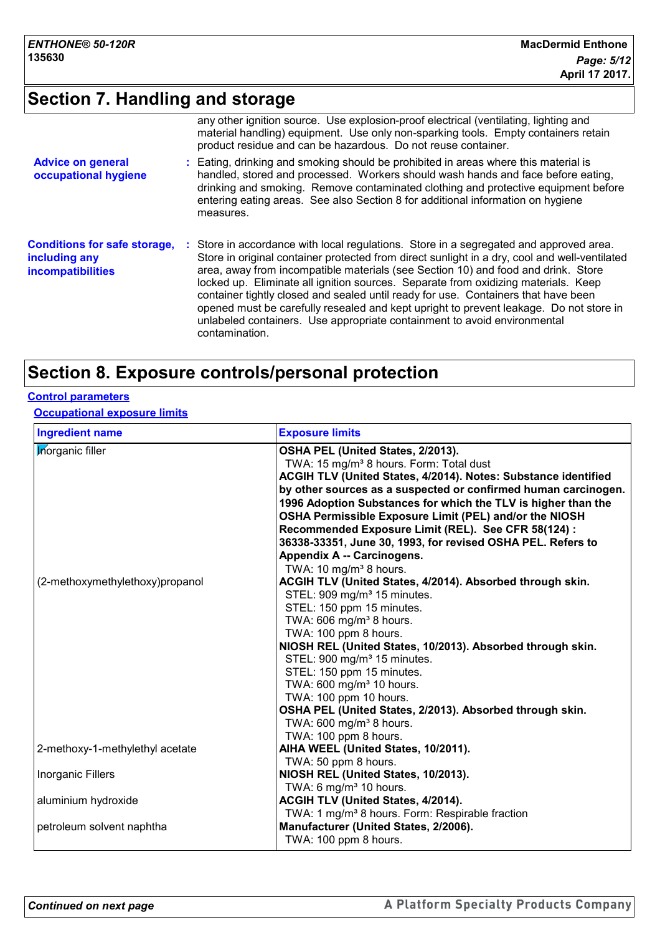# **Section 7. Handling and storage**

|                                                                                  | any other ignition source. Use explosion-proof electrical (ventilating, lighting and<br>material handling) equipment. Use only non-sparking tools. Empty containers retain<br>product residue and can be hazardous. Do not reuse container.                                                                                                                                                                                                                                                                                                                                                                                                      |
|----------------------------------------------------------------------------------|--------------------------------------------------------------------------------------------------------------------------------------------------------------------------------------------------------------------------------------------------------------------------------------------------------------------------------------------------------------------------------------------------------------------------------------------------------------------------------------------------------------------------------------------------------------------------------------------------------------------------------------------------|
| <b>Advice on general</b><br>occupational hygiene                                 | : Eating, drinking and smoking should be prohibited in areas where this material is<br>handled, stored and processed. Workers should wash hands and face before eating,<br>drinking and smoking. Remove contaminated clothing and protective equipment before<br>entering eating areas. See also Section 8 for additional information on hygiene<br>measures.                                                                                                                                                                                                                                                                                    |
| <b>Conditions for safe storage,</b><br>including any<br><b>incompatibilities</b> | : Store in accordance with local regulations. Store in a segregated and approved area.<br>Store in original container protected from direct sunlight in a dry, cool and well-ventilated<br>area, away from incompatible materials (see Section 10) and food and drink. Store<br>locked up. Eliminate all ignition sources. Separate from oxidizing materials. Keep<br>container tightly closed and sealed until ready for use. Containers that have been<br>opened must be carefully resealed and kept upright to prevent leakage. Do not store in<br>unlabeled containers. Use appropriate containment to avoid environmental<br>contamination. |

# **Section 8. Exposure controls/personal protection**

### **Control parameters**

**Occupational exposure limits**

| <b>Ingredient name</b>          | <b>Exposure limits</b>                                         |
|---------------------------------|----------------------------------------------------------------|
| <b>Inorganic filler</b>         | OSHA PEL (United States, 2/2013).                              |
|                                 | TWA: 15 mg/m <sup>3</sup> 8 hours. Form: Total dust            |
|                                 | ACGIH TLV (United States, 4/2014). Notes: Substance identified |
|                                 | by other sources as a suspected or confirmed human carcinogen. |
|                                 | 1996 Adoption Substances for which the TLV is higher than the  |
|                                 | OSHA Permissible Exposure Limit (PEL) and/or the NIOSH         |
|                                 | Recommended Exposure Limit (REL). See CFR 58(124) :            |
|                                 | 36338-33351, June 30, 1993, for revised OSHA PEL. Refers to    |
|                                 | Appendix A -- Carcinogens.                                     |
|                                 | TWA: 10 mg/m <sup>3</sup> 8 hours.                             |
| (2-methoxymethylethoxy)propanol | ACGIH TLV (United States, 4/2014). Absorbed through skin.      |
|                                 | STEL: 909 mg/m <sup>3</sup> 15 minutes.                        |
|                                 | STEL: 150 ppm 15 minutes.                                      |
|                                 | TWA: 606 mg/m <sup>3</sup> 8 hours.                            |
|                                 | TWA: 100 ppm 8 hours.                                          |
|                                 | NIOSH REL (United States, 10/2013). Absorbed through skin.     |
|                                 | STEL: 900 mg/m <sup>3</sup> 15 minutes.                        |
|                                 | STEL: 150 ppm 15 minutes.                                      |
|                                 | TWA: 600 mg/m <sup>3</sup> 10 hours.                           |
|                                 | TWA: 100 ppm 10 hours.                                         |
|                                 | OSHA PEL (United States, 2/2013). Absorbed through skin.       |
|                                 | TWA: 600 mg/m <sup>3</sup> 8 hours.                            |
|                                 | TWA: 100 ppm 8 hours.                                          |
| 2-methoxy-1-methylethyl acetate | AIHA WEEL (United States, 10/2011).                            |
|                                 | TWA: 50 ppm 8 hours.                                           |
| Inorganic Fillers               | NIOSH REL (United States, 10/2013).                            |
|                                 | TWA: 6 mg/m <sup>3</sup> 10 hours.                             |
| aluminium hydroxide             | ACGIH TLV (United States, 4/2014).                             |
|                                 | TWA: 1 mg/m <sup>3</sup> 8 hours. Form: Respirable fraction    |
| petroleum solvent naphtha       | Manufacturer (United States, 2/2006).                          |
|                                 | TWA: 100 ppm 8 hours.                                          |
|                                 |                                                                |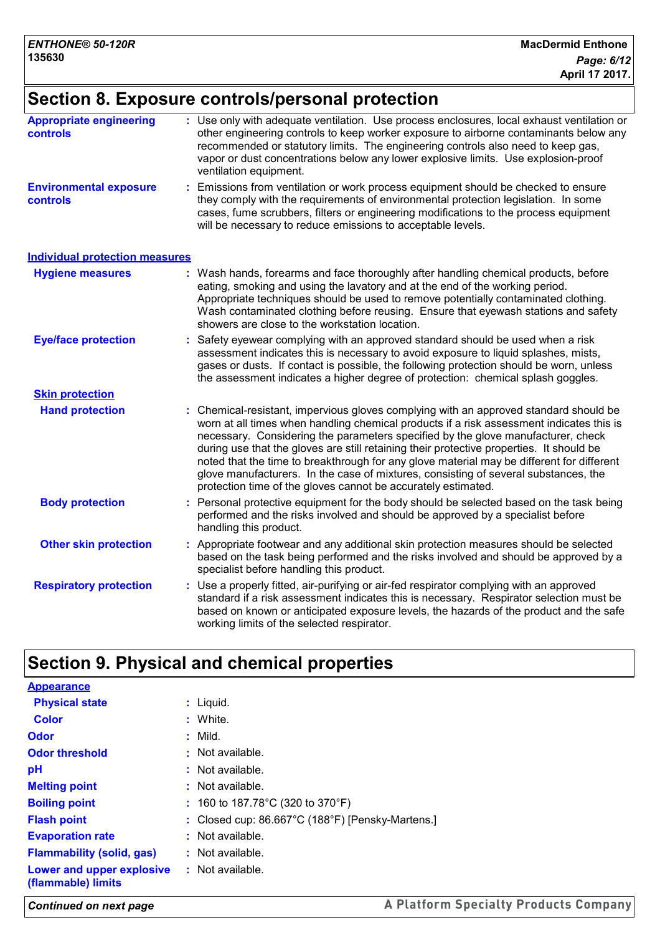# **Section 8. Exposure controls/personal protection**

| <b>Appropriate engineering</b><br><b>controls</b> | : Use only with adequate ventilation. Use process enclosures, local exhaust ventilation or<br>other engineering controls to keep worker exposure to airborne contaminants below any<br>recommended or statutory limits. The engineering controls also need to keep gas,<br>vapor or dust concentrations below any lower explosive limits. Use explosion-proof<br>ventilation equipment.                                                                                                                                                                                                                              |  |  |  |
|---------------------------------------------------|----------------------------------------------------------------------------------------------------------------------------------------------------------------------------------------------------------------------------------------------------------------------------------------------------------------------------------------------------------------------------------------------------------------------------------------------------------------------------------------------------------------------------------------------------------------------------------------------------------------------|--|--|--|
| <b>Environmental exposure</b><br>controls         | Emissions from ventilation or work process equipment should be checked to ensure<br>they comply with the requirements of environmental protection legislation. In some<br>cases, fume scrubbers, filters or engineering modifications to the process equipment<br>will be necessary to reduce emissions to acceptable levels.                                                                                                                                                                                                                                                                                        |  |  |  |
| <b>Individual protection measures</b>             |                                                                                                                                                                                                                                                                                                                                                                                                                                                                                                                                                                                                                      |  |  |  |
| <b>Hygiene measures</b>                           | : Wash hands, forearms and face thoroughly after handling chemical products, before<br>eating, smoking and using the lavatory and at the end of the working period.<br>Appropriate techniques should be used to remove potentially contaminated clothing.<br>Wash contaminated clothing before reusing. Ensure that eyewash stations and safety<br>showers are close to the workstation location.                                                                                                                                                                                                                    |  |  |  |
| <b>Eye/face protection</b>                        | Safety eyewear complying with an approved standard should be used when a risk<br>assessment indicates this is necessary to avoid exposure to liquid splashes, mists,<br>gases or dusts. If contact is possible, the following protection should be worn, unless<br>the assessment indicates a higher degree of protection: chemical splash goggles.                                                                                                                                                                                                                                                                  |  |  |  |
| <b>Skin protection</b>                            |                                                                                                                                                                                                                                                                                                                                                                                                                                                                                                                                                                                                                      |  |  |  |
| <b>Hand protection</b>                            | Chemical-resistant, impervious gloves complying with an approved standard should be<br>worn at all times when handling chemical products if a risk assessment indicates this is<br>necessary. Considering the parameters specified by the glove manufacturer, check<br>during use that the gloves are still retaining their protective properties. It should be<br>noted that the time to breakthrough for any glove material may be different for different<br>glove manufacturers. In the case of mixtures, consisting of several substances, the<br>protection time of the gloves cannot be accurately estimated. |  |  |  |
| <b>Body protection</b>                            | Personal protective equipment for the body should be selected based on the task being<br>performed and the risks involved and should be approved by a specialist before<br>handling this product.                                                                                                                                                                                                                                                                                                                                                                                                                    |  |  |  |
| <b>Other skin protection</b>                      | : Appropriate footwear and any additional skin protection measures should be selected<br>based on the task being performed and the risks involved and should be approved by a<br>specialist before handling this product.                                                                                                                                                                                                                                                                                                                                                                                            |  |  |  |
| <b>Respiratory protection</b>                     | Use a properly fitted, air-purifying or air-fed respirator complying with an approved<br>standard if a risk assessment indicates this is necessary. Respirator selection must be<br>based on known or anticipated exposure levels, the hazards of the product and the safe<br>working limits of the selected respirator.                                                                                                                                                                                                                                                                                             |  |  |  |

# **Section 9. Physical and chemical properties**

| <b>Appearance</b>                               |                                                                       |
|-------------------------------------------------|-----------------------------------------------------------------------|
| <b>Physical state</b>                           | : Liguid.                                                             |
| <b>Color</b>                                    | : White.                                                              |
| Odor                                            | $:$ Mild.                                                             |
| <b>Odor threshold</b>                           | $:$ Not available.                                                    |
| рH                                              | : Not available.                                                      |
| <b>Melting point</b>                            | $:$ Not available.                                                    |
| <b>Boiling point</b>                            | : 160 to 187.78 $^{\circ}$ C (320 to 370 $^{\circ}$ F)                |
| <b>Flash point</b>                              | : Closed cup: $86.667^{\circ}$ C (188 $^{\circ}$ F) [Pensky-Martens.] |
| <b>Evaporation rate</b>                         | $:$ Not available.                                                    |
| <b>Flammability (solid, gas)</b>                | $:$ Not available.                                                    |
| Lower and upper explosive<br>(flammable) limits | $:$ Not available.                                                    |

*Continued on next page*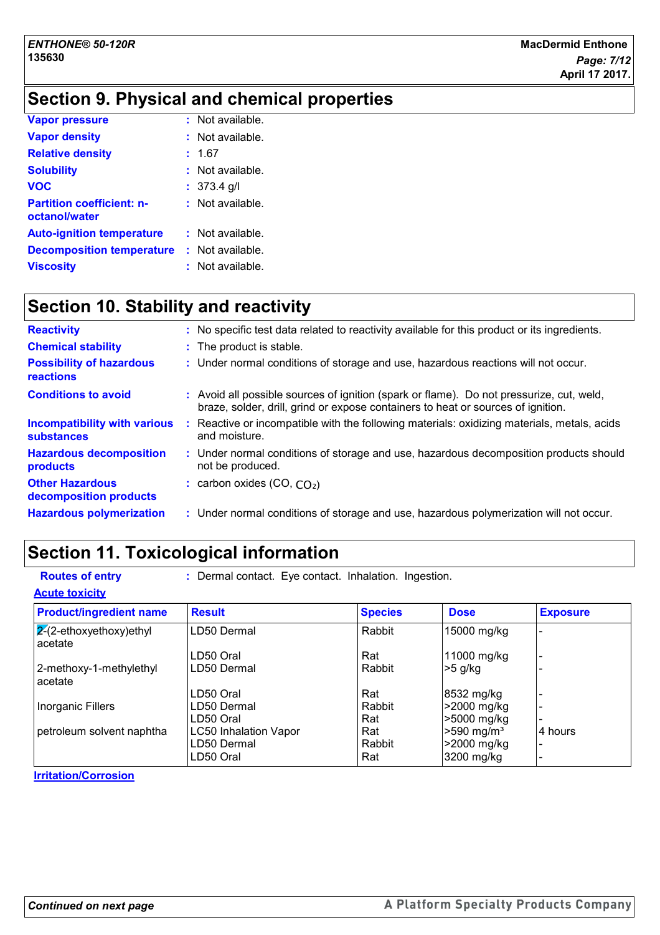# **Section 9. Physical and chemical properties**

| <b>Vapor pressure</b>                             | $:$ Not available. |
|---------------------------------------------------|--------------------|
| <b>Vapor density</b>                              | : Not available.   |
| <b>Relative density</b>                           | : 1.67             |
| <b>Solubility</b>                                 | $:$ Not available. |
| <b>VOC</b>                                        | $: 373.4$ g/l      |
| <b>Partition coefficient: n-</b><br>octanol/water | $:$ Not available. |
| <b>Auto-ignition temperature</b>                  | $:$ Not available. |
| <b>Decomposition temperature</b>                  | $:$ Not available. |
| <b>Viscosity</b>                                  | : Not available.   |

# **Section 10. Stability and reactivity**

| <b>Reactivity</b>                                        | : No specific test data related to reactivity available for this product or its ingredients.                                                                                 |
|----------------------------------------------------------|------------------------------------------------------------------------------------------------------------------------------------------------------------------------------|
| <b>Chemical stability</b>                                | : The product is stable.                                                                                                                                                     |
| <b>Possibility of hazardous</b><br>reactions             | : Under normal conditions of storage and use, hazardous reactions will not occur.                                                                                            |
| <b>Conditions to avoid</b>                               | : Avoid all possible sources of ignition (spark or flame). Do not pressurize, cut, weld,<br>braze, solder, drill, grind or expose containers to heat or sources of ignition. |
| <b>Incompatibility with various</b><br><b>substances</b> | : Reactive or incompatible with the following materials: oxidizing materials, metals, acids<br>and moisture.                                                                 |
| <b>Hazardous decomposition</b><br>products               | : Under normal conditions of storage and use, hazardous decomposition products should<br>not be produced.                                                                    |
| <b>Other Hazardous</b><br>decomposition products         | : carbon oxides $(CO, CO2)$                                                                                                                                                  |
| <b>Hazardous polymerization</b>                          | : Under normal conditions of storage and use, hazardous polymerization will not occur.                                                                                       |

# **Section 11. Toxicological information**

| <b>Routes of entry</b>                    | : Dermal contact. Eye contact. Inhalation. Ingestion. |                |                          |                 |
|-------------------------------------------|-------------------------------------------------------|----------------|--------------------------|-----------------|
| <b>Acute toxicity</b>                     |                                                       |                |                          |                 |
| <b>Product/ingredient name</b>            | <b>Result</b>                                         | <b>Species</b> | <b>Dose</b>              | <b>Exposure</b> |
| $\sqrt{2}$ -ethoxyethoxy)ethyl<br>acetate | LD50 Dermal                                           | Rabbit         | 15000 mg/kg              |                 |
|                                           | LD50 Oral                                             | Rat            | 11000 mg/kg              |                 |
| 2-methoxy-1-methylethyl<br>acetate        | LD50 Dermal                                           | Rabbit         | $>5$ g/kg                |                 |
|                                           | LD50 Oral                                             | Rat            | 8532 mg/kg               |                 |
| <b>Inorganic Fillers</b>                  | LD50 Dermal                                           | Rabbit         | >2000 mg/kg              |                 |
|                                           | LD50 Oral                                             | Rat            | >5000 mg/kg              |                 |
| petroleum solvent naphtha                 | <b>LC50 Inhalation Vapor</b>                          | Rat            | $>590$ mg/m <sup>3</sup> | 4 hours         |
|                                           | LD50 Dermal                                           | Rabbit         | >2000 mg/kg              |                 |
|                                           | LD50 Oral                                             | Rat            | 3200 mg/kg               |                 |

**Irritation/Corrosion**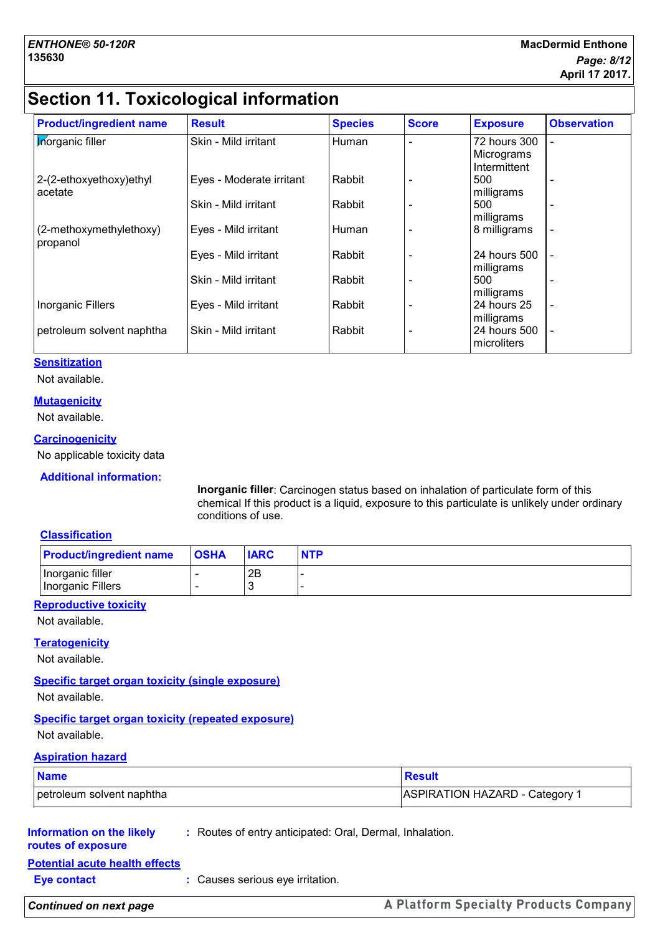# **Section 11. Toxicological information**

| <b>Product/ingredient name</b>      | <b>Result</b>            | <b>Species</b> | <b>Score</b> | <b>Exposure</b>                            | <b>Observation</b> |
|-------------------------------------|--------------------------|----------------|--------------|--------------------------------------------|--------------------|
| <b>Inorganic filler</b>             | Skin - Mild irritant     | Human          |              | 72 hours 300<br>Micrograms<br>Intermittent |                    |
| 2-(2-ethoxyethoxy)ethyl<br>acetate  | Eyes - Moderate irritant | Rabbit         |              | 500<br>milligrams                          |                    |
|                                     | Skin - Mild irritant     | Rabbit         |              | 500<br>milligrams                          |                    |
| (2-methoxymethylethoxy)<br>propanol | Eyes - Mild irritant     | Human          |              | 8 milligrams                               |                    |
|                                     | Eyes - Mild irritant     | Rabbit         |              | 24 hours 500<br>milligrams                 |                    |
|                                     | Skin - Mild irritant     | Rabbit         |              | 500<br>milligrams                          |                    |
| <b>Inorganic Fillers</b>            | Eyes - Mild irritant     | Rabbit         |              | 24 hours 25<br>milligrams                  |                    |
| petroleum solvent naphtha           | Skin - Mild irritant     | Rabbit         |              | 24 hours 500<br>microliters                |                    |

### **Sensitization**

Not available.

### **Mutagenicity**

Not available.

### **Carcinogenicity**

No applicable toxicity data

### **Additional information:**

**Inorganic filler**: Carcinogen status based on inhalation of particulate form of this chemical If this product is a liquid, exposure to this particulate is unlikely under ordinary conditions of use.

### **Classification**

| <b>Product/ingredient name</b>        | <b>OSHA</b> | <b>IARC</b> | <b>NTP</b> |
|---------------------------------------|-------------|-------------|------------|
| Inorganic filler<br>Inorganic Fillers |             | 2B          |            |

### **Reproductive toxicity**

Not available.

### **Teratogenicity**

Not available.

### **Specific target organ toxicity (single exposure)**

Not available.

### **Specific target organ toxicity (repeated exposure)**

Not available.

### **Aspiration hazard**

| <b>Name</b>               | <b>Result</b>                  |
|---------------------------|--------------------------------|
| petroleum solvent naphtha | ASPIRATION HAZARD - Category 1 |

### **Information on the likely :** Routes of entry anticipated: Oral, Dermal, Inhalation.

### **routes of exposure**

**Potential acute health effects**

**Eye contact :** Causes serious eye irritation.

### *Continued on next page*

A Platform Specialty Products Company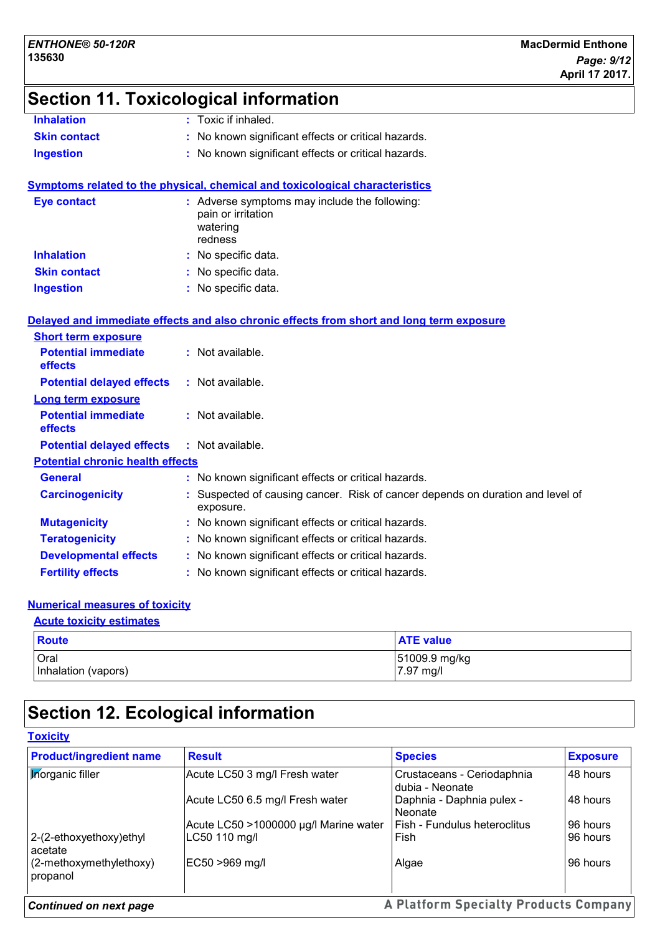# **Section 11. Toxicological information**

| <b>Inhalation</b>   | $\therefore$ Toxic if inhaled.                      |
|---------------------|-----------------------------------------------------|
| <b>Skin contact</b> | : No known significant effects or critical hazards. |
| Ingestion           | : No known significant effects or critical hazards. |

### **Symptoms related to the physical, chemical and toxicological characteristics**

| Eye contact         | : Adverse symptoms may include the following:<br>pain or irritation<br>watering<br>redness |
|---------------------|--------------------------------------------------------------------------------------------|
| <b>Inhalation</b>   | : No specific data.                                                                        |
| <b>Skin contact</b> | : No specific data.                                                                        |
| <b>Ingestion</b>    | : No specific data.                                                                        |

### **Delayed and immediate effects and also chronic effects from short and long term exposure**

| <b>Short term exposure</b>                   |                                                                                           |
|----------------------------------------------|-------------------------------------------------------------------------------------------|
| <b>Potential immediate</b><br><b>effects</b> | $:$ Not available.                                                                        |
| <b>Potential delayed effects</b>             | $:$ Not available.                                                                        |
| <b>Long term exposure</b>                    |                                                                                           |
| <b>Potential immediate</b><br><b>effects</b> | $:$ Not available.                                                                        |
| <b>Potential delayed effects</b>             | : Not available.                                                                          |
| <b>Potential chronic health effects</b>      |                                                                                           |
| <b>General</b>                               | : No known significant effects or critical hazards.                                       |
| <b>Carcinogenicity</b>                       | Suspected of causing cancer. Risk of cancer depends on duration and level of<br>exposure. |
| <b>Mutagenicity</b>                          | : No known significant effects or critical hazards.                                       |
| <b>Teratogenicity</b>                        | : No known significant effects or critical hazards.                                       |
| <b>Developmental effects</b>                 | : No known significant effects or critical hazards.                                       |
| <b>Fertility effects</b>                     | : No known significant effects or critical hazards.                                       |

## **Numerical measures of toxicity**

### **Acute toxicity estimates**

| <b>Route</b>        | <b>ATE value</b> |
|---------------------|------------------|
| Oral                | 51009.9 mg/kg    |
| Inhalation (vapors) | 7.97 mg/l        |

# **Section 12. Ecological information**

| <b>Product/ingredient name</b>         | <b>Result</b>                         | <b>Species</b>                                | <b>Exposure</b> |
|----------------------------------------|---------------------------------------|-----------------------------------------------|-----------------|
| <b>Morganic filler</b>                 | Acute LC50 3 mg/l Fresh water         | Crustaceans - Ceriodaphnia<br>dubia - Neonate | 48 hours        |
|                                        | Acute LC50 6.5 mg/l Fresh water       | Daphnia - Daphnia pulex -<br>l Neonate        | 48 hours        |
|                                        | Acute LC50 >1000000 µg/l Marine water | l Fish - Fundulus heteroclitus                | 96 hours        |
| 2-(2-ethoxyethoxy)ethyl<br>acetate     | LC50 110 mg/l                         | Fish                                          | 96 hours        |
| $(2$ -methoxymethylethoxy)<br>propanol | EC50 >969 mg/l                        | Algae                                         | 96 hours        |
| <b>Continued on next page</b>          |                                       | A Platform Specialty Products Company         |                 |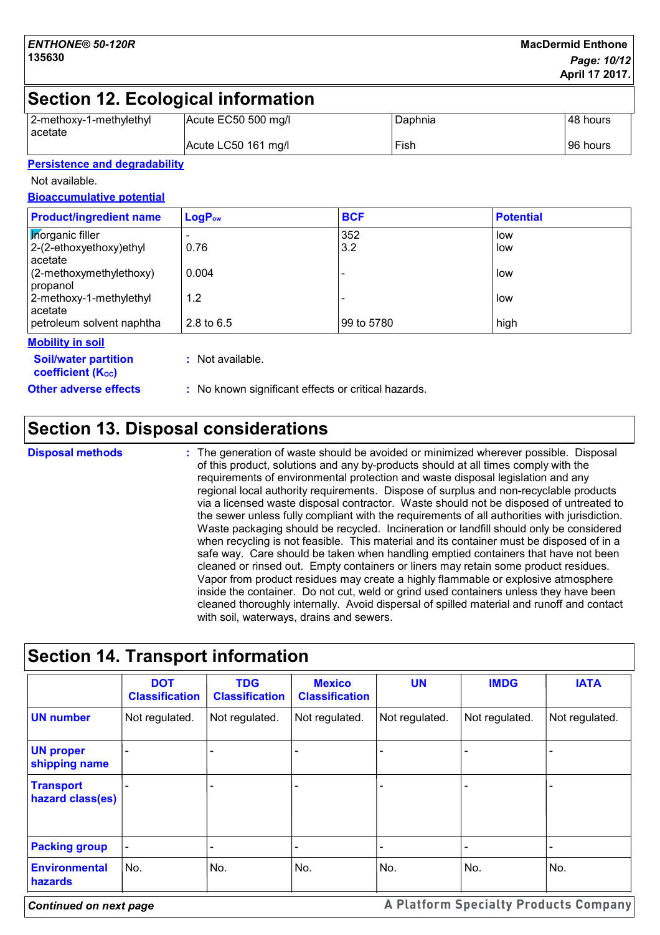# **Section 12. Ecological information**

| 2-methoxy-1-methylethyl | Acute EC50 500 mg/l | Daphnia | 48 hours |
|-------------------------|---------------------|---------|----------|
| <b>l</b> acetate        | Acute LC50 161 mg/l | Fish    | 96 hours |

### **Persistence and degradability**

Not available.

### **Bioaccumulative potential**

| <b>Product/ingredient name</b>        | LogP <sub>ow</sub> | <b>BCF</b> | <b>Potential</b> |
|---------------------------------------|--------------------|------------|------------------|
| <b>Korganic filler</b>                |                    | 352        | low              |
| $ 2-(2-ethoxyethoxy)ethyl$<br>acetate | 0.76               | 3.2        | low              |
| $(2-methoxymethylethoxy)$<br>propanol | 0.004              |            | low              |
| 2-methoxy-1-methylethyl<br>acetate    | 1.2                |            | low              |
| petroleum solvent naphtha             | 2.8 to $6.5$       | 99 to 5780 | high             |
| <b>ARALISMO SA ARTI</b>               |                    |            |                  |

### **Mobility in soil**

**:** Not available.

**Other adverse effects** : No known significant effects or critical hazards.

**Soil/water partition coefficient (Koc)** 

# **Section 13. Disposal considerations**

**Disposal methods :**

The generation of waste should be avoided or minimized wherever possible. Disposal of this product, solutions and any by-products should at all times comply with the requirements of environmental protection and waste disposal legislation and any regional local authority requirements. Dispose of surplus and non-recyclable products via a licensed waste disposal contractor. Waste should not be disposed of untreated to the sewer unless fully compliant with the requirements of all authorities with jurisdiction. Waste packaging should be recycled. Incineration or landfill should only be considered when recycling is not feasible. This material and its container must be disposed of in a safe way. Care should be taken when handling emptied containers that have not been cleaned or rinsed out. Empty containers or liners may retain some product residues. Vapor from product residues may create a highly flammable or explosive atmosphere inside the container. Do not cut, weld or grind used containers unless they have been cleaned thoroughly internally. Avoid dispersal of spilled material and runoff and contact with soil, waterways, drains and sewers.

|                                        | <b>DOT</b><br><b>Classification</b> | <b>TDG</b><br><b>Classification</b> | <b>Mexico</b><br><b>Classification</b> | <b>UN</b>      | <b>IMDG</b>    | <b>IATA</b>    |
|----------------------------------------|-------------------------------------|-------------------------------------|----------------------------------------|----------------|----------------|----------------|
| <b>UN number</b>                       | Not regulated.                      | Not regulated.                      | Not regulated.                         | Not regulated. | Not regulated. | Not regulated. |
| <b>UN proper</b><br>shipping name      |                                     |                                     |                                        |                |                |                |
| <b>Transport</b><br>hazard class(es)   |                                     |                                     |                                        |                |                |                |
| <b>Packing group</b>                   |                                     |                                     |                                        |                |                | -              |
| <b>Environmental</b><br><b>hazards</b> | No.                                 | No.                                 | No.                                    | No.            | No.            | No.            |

# **Section 14. Transport information**

*Continued on next page*

A Platform Specialty Products Company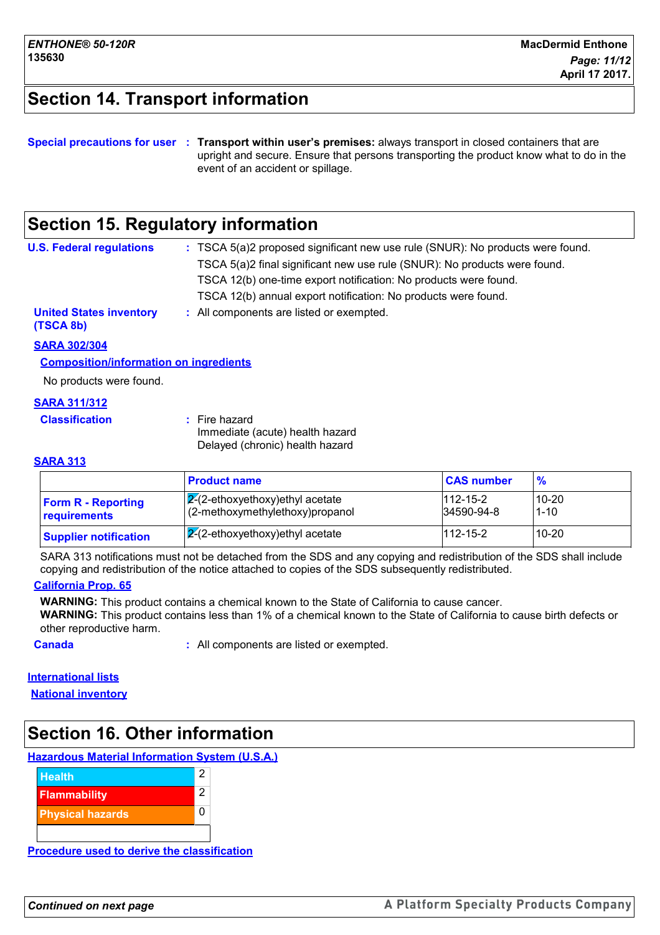# **Section 14. Transport information**

### **Special precautions for user Transport within user's premises:** always transport in closed containers that are **:** upright and secure. Ensure that persons transporting the product know what to do in the event of an accident or spillage.

# **Section 15. Regulatory information**

| <b>U.S. Federal regulations</b>             | : TSCA 5(a)2 proposed significant new use rule (SNUR): No products were found. |
|---------------------------------------------|--------------------------------------------------------------------------------|
|                                             | TSCA 5(a)2 final significant new use rule (SNUR): No products were found.      |
|                                             | TSCA 12(b) one-time export notification: No products were found.               |
|                                             | TSCA 12(b) annual export notification: No products were found.                 |
| <b>United States inventory</b><br>(TSCA 8b) | : All components are listed or exempted.                                       |

### **SARA 302/304**

### **Composition/information on ingredients**

No products were found.

### **SARA 311/312**

| <b>Classification</b> | : Fire hazard                   |
|-----------------------|---------------------------------|
|                       | Immediate (acute) health hazard |
|                       | Delayed (chronic) health hazard |

### **SARA 313**

|                                           | <b>Product name</b>                                                   | <b>CAS number</b>            | $\frac{9}{6}$         |
|-------------------------------------------|-----------------------------------------------------------------------|------------------------------|-----------------------|
| <b>Form R - Reporting</b><br>requirements | $ 2(2-ethoxyethoxy)$ ethyl acetate<br>(2-methoxymethylethoxy)propanol | $112 - 15 - 2$<br>34590-94-8 | $10 - 20$<br>$1 - 10$ |
| <b>Supplier notification</b>              | $ 2(2-ethoxyethoxy)$ ethyl acetate                                    | $112 - 15 - 2$               | $10 - 20$             |

SARA 313 notifications must not be detached from the SDS and any copying and redistribution of the SDS shall include copying and redistribution of the notice attached to copies of the SDS subsequently redistributed.

### **California Prop. 65**

**WARNING:** This product contains a chemical known to the State of California to cause cancer.

**WARNING:** This product contains less than 1% of a chemical known to the State of California to cause birth defects or other reproductive harm.

**Canada :** All components are listed or exempted.

### **International lists**

**National inventory**

# **Section 16. Other information**

### **Hazardous Material Information System (U.S.A.)**



**Procedure used to derive the classification**